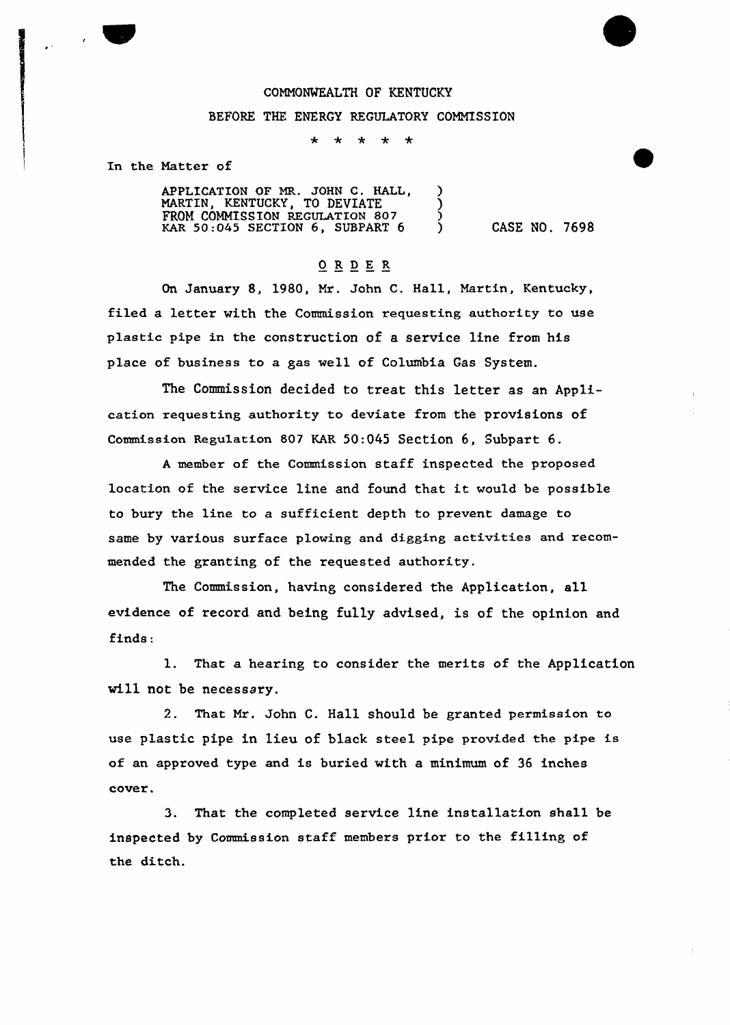## COMMONWEALTH OF KENTUCKY

## BEFORE THE ENERGY REGULATORY COMNISSION

 $\star$  $\star$  $\star$   $\star$ 

In the Matter of

APPLICATION OF MR. JOHN C. HALL, MARTIN, KENTUCKY, TO DEVIATE ) MARTIN, KENTUCKY, TO DEVIATE (1987)<br>FROM COMMISSION REGULATION 807 (1988)<br>KAR 50:045 SECTION 6, SUBPART 6 (1998) KAR  $50:045$  SECTION 6, SUBPART 6  $\bigcirc$  CASE NO. 7698

## ORDER

On January 8, 1980, Mr. John C. Hall, Martin, Kentucky, filed a letter with the Commission requesting authority to use plastic pipe in the construction of a service line from his place of business to a gas well of Columbia Gas System.

The Commission decided to treat this letter as an Application requesting authority to deviate from the provisions of Commission Regulation 801 KAR 50:045 Section 6, Subpart 6.

<sup>A</sup> member of the Commission staff inspected the proposed location of the service line and found that it would be possible to bury the line to a sufficient depth to prevent damage to same by various surface plowing and digging activities and recommended the granting of the requested authority.

The Commission, having considered the Application, all evidence of record and being fully advised, is of the opinion and finds:

1. That a hearing to consider the merits of the Application wi11 not be necessary.

2. That Mr. John C. Hall should be granted permission to use plastic pipe in lieu of black steel pipe provided the pipe is of an approved type and is buried with a minimum of 36 inches cover.

3. That the completed service line installation shall be inspected by Commission staff members prior to the filling of the ditch.